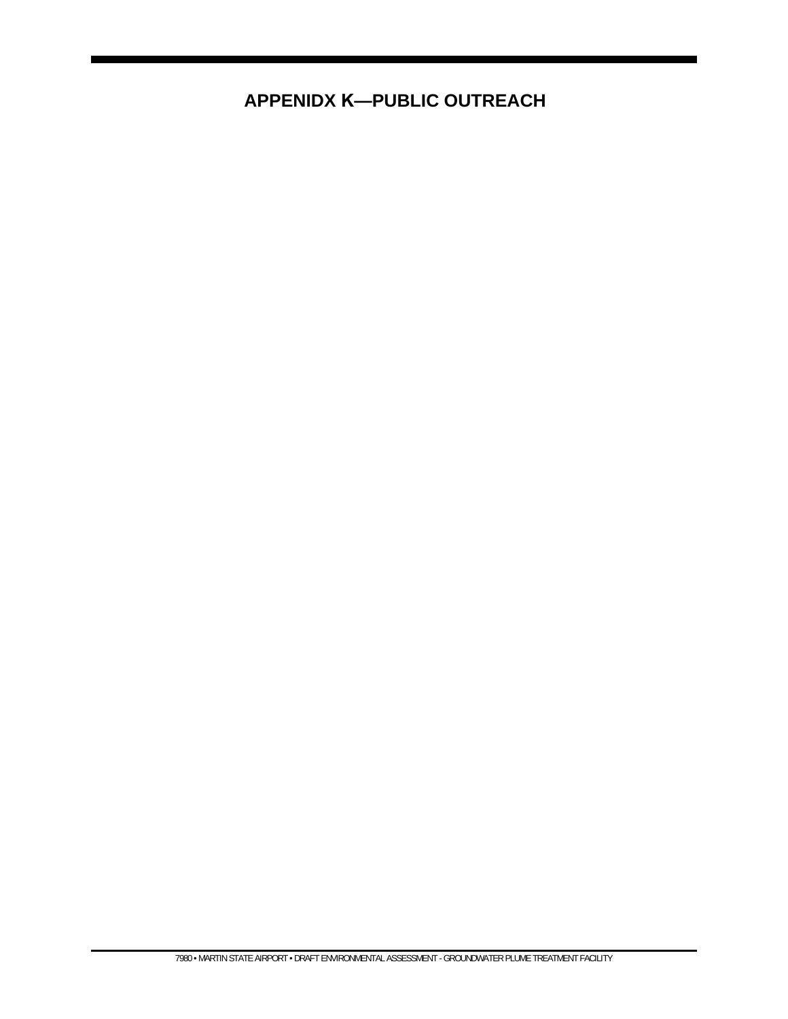**APPENIDX K—PUBLIC OUTREACH**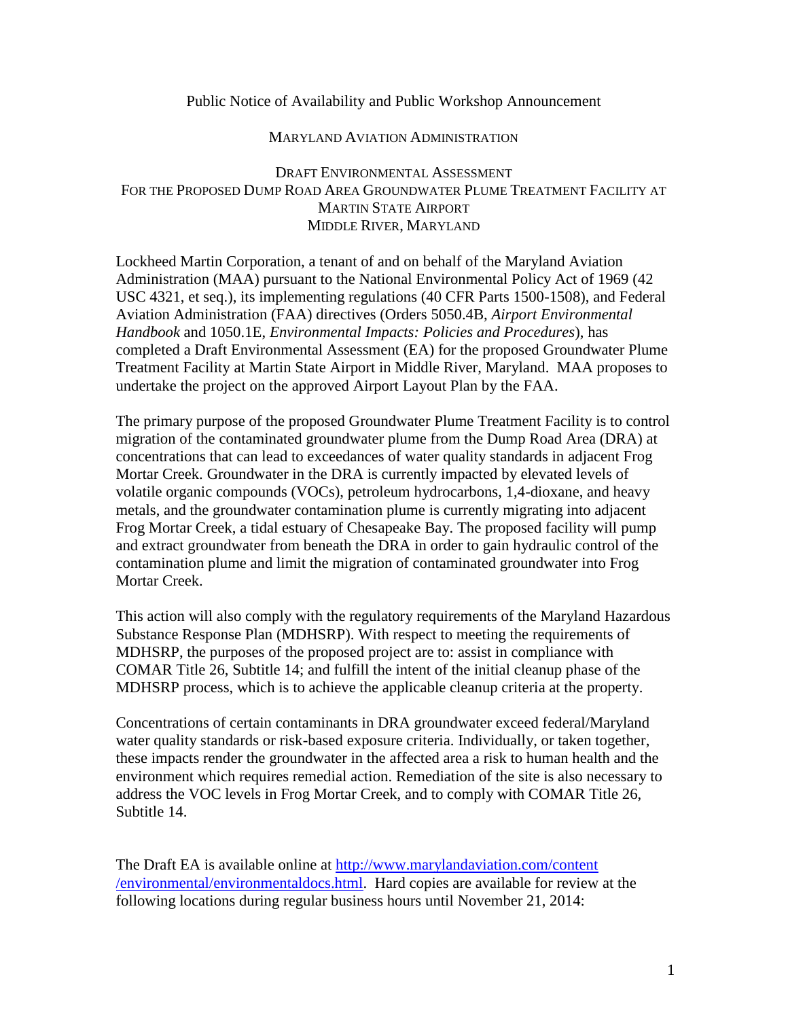## Public Notice of Availability and Public Workshop Announcement

## MARYLAND AVIATION ADMINISTRATION

## DRAFT ENVIRONMENTAL ASSESSMENT FOR THE PROPOSED DUMP ROAD AREA GROUNDWATER PLUME TREATMENT FACILITY AT MARTIN STATE AIRPORT MIDDLE RIVER, MARYLAND

Lockheed Martin Corporation, a tenant of and on behalf of the Maryland Aviation Administration (MAA) pursuant to the National Environmental Policy Act of 1969 (42 USC 4321, et seq.), its implementing regulations (40 CFR Parts 1500-1508), and Federal Aviation Administration (FAA) directives (Orders 5050.4B, *Airport Environmental Handbook* and 1050.1E, *Environmental Impacts: Policies and Procedures*), has completed a Draft Environmental Assessment (EA) for the proposed Groundwater Plume Treatment Facility at Martin State Airport in Middle River, Maryland. MAA proposes to undertake the project on the approved Airport Layout Plan by the FAA.

The primary purpose of the proposed Groundwater Plume Treatment Facility is to control migration of the contaminated groundwater plume from the Dump Road Area (DRA) at concentrations that can lead to exceedances of water quality standards in adjacent Frog Mortar Creek. Groundwater in the DRA is currently impacted by elevated levels of volatile organic compounds (VOCs), petroleum hydrocarbons, 1,4-dioxane, and heavy metals, and the groundwater contamination plume is currently migrating into adjacent Frog Mortar Creek, a tidal estuary of Chesapeake Bay. The proposed facility will pump and extract groundwater from beneath the DRA in order to gain hydraulic control of the contamination plume and limit the migration of contaminated groundwater into Frog Mortar Creek.

This action will also comply with the regulatory requirements of the Maryland Hazardous Substance Response Plan (MDHSRP). With respect to meeting the requirements of MDHSRP, the purposes of the proposed project are to: assist in compliance with COMAR Title 26, Subtitle 14; and fulfill the intent of the initial cleanup phase of the MDHSRP process, which is to achieve the applicable cleanup criteria at the property.

Concentrations of certain contaminants in DRA groundwater exceed federal/Maryland water quality standards or risk-based exposure criteria. Individually, or taken together, these impacts render the groundwater in the affected area a risk to human health and the environment which requires remedial action. Remediation of the site is also necessary to address the VOC levels in Frog Mortar Creek, and to comply with COMAR Title 26, Subtitle 14.

The Draft EA is available online at [http://www.marylandaviation.com/content](http://www.marylandaviation.com/content%0b/environmental/environmentaldocs.html) [/environmental/environmentaldocs.html.](http://www.marylandaviation.com/content%0b/environmental/environmentaldocs.html) Hard copies are available for review at the following locations during regular business hours until November 21, 2014: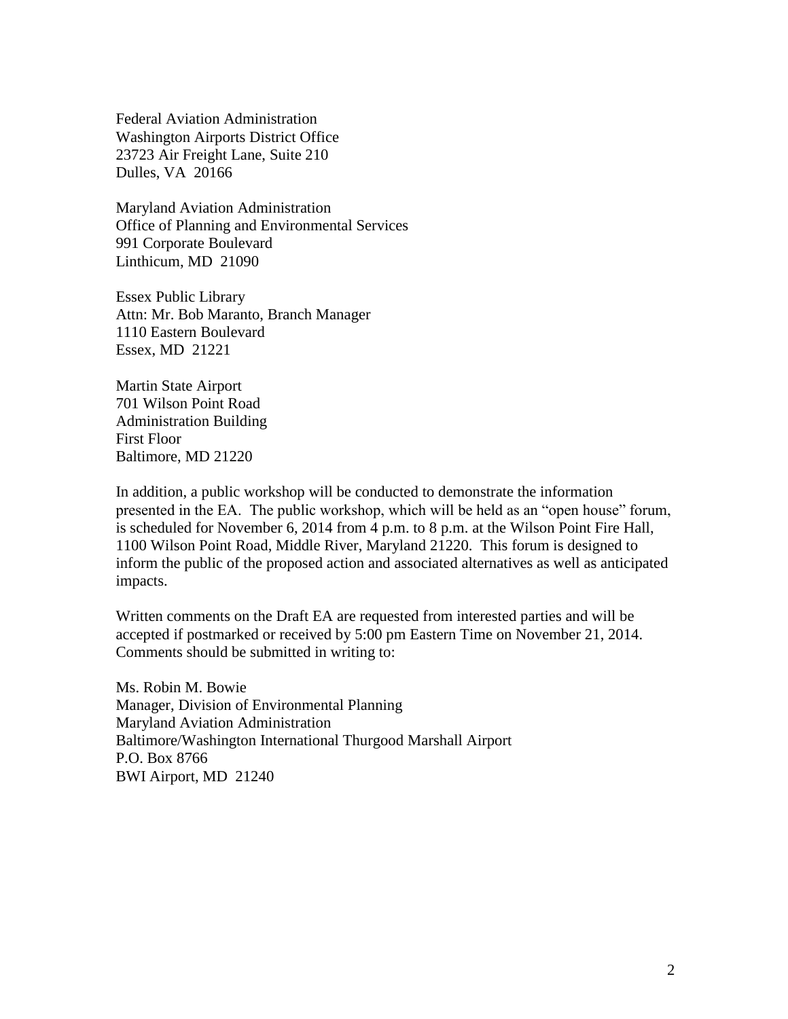Federal Aviation Administration Washington Airports District Office 23723 Air Freight Lane, Suite 210 Dulles, VA 20166

Maryland Aviation Administration Office of Planning and Environmental Services 991 Corporate Boulevard Linthicum, MD 21090

Essex Public Library Attn: Mr. Bob Maranto, Branch Manager 1110 Eastern Boulevard Essex, MD 21221

Martin State Airport 701 Wilson Point Road Administration Building First Floor Baltimore, MD 21220

In addition, a public workshop will be conducted to demonstrate the information presented in the EA. The public workshop, which will be held as an "open house" forum, is scheduled for November 6, 2014 from 4 p.m. to 8 p.m. at the Wilson Point Fire Hall, 1100 Wilson Point Road, Middle River, Maryland 21220. This forum is designed to inform the public of the proposed action and associated alternatives as well as anticipated impacts.

Written comments on the Draft EA are requested from interested parties and will be accepted if postmarked or received by 5:00 pm Eastern Time on November 21, 2014. Comments should be submitted in writing to:

Ms. Robin M. Bowie Manager, Division of Environmental Planning Maryland Aviation Administration Baltimore/Washington International Thurgood Marshall Airport P.O. Box 8766 BWI Airport, MD 21240